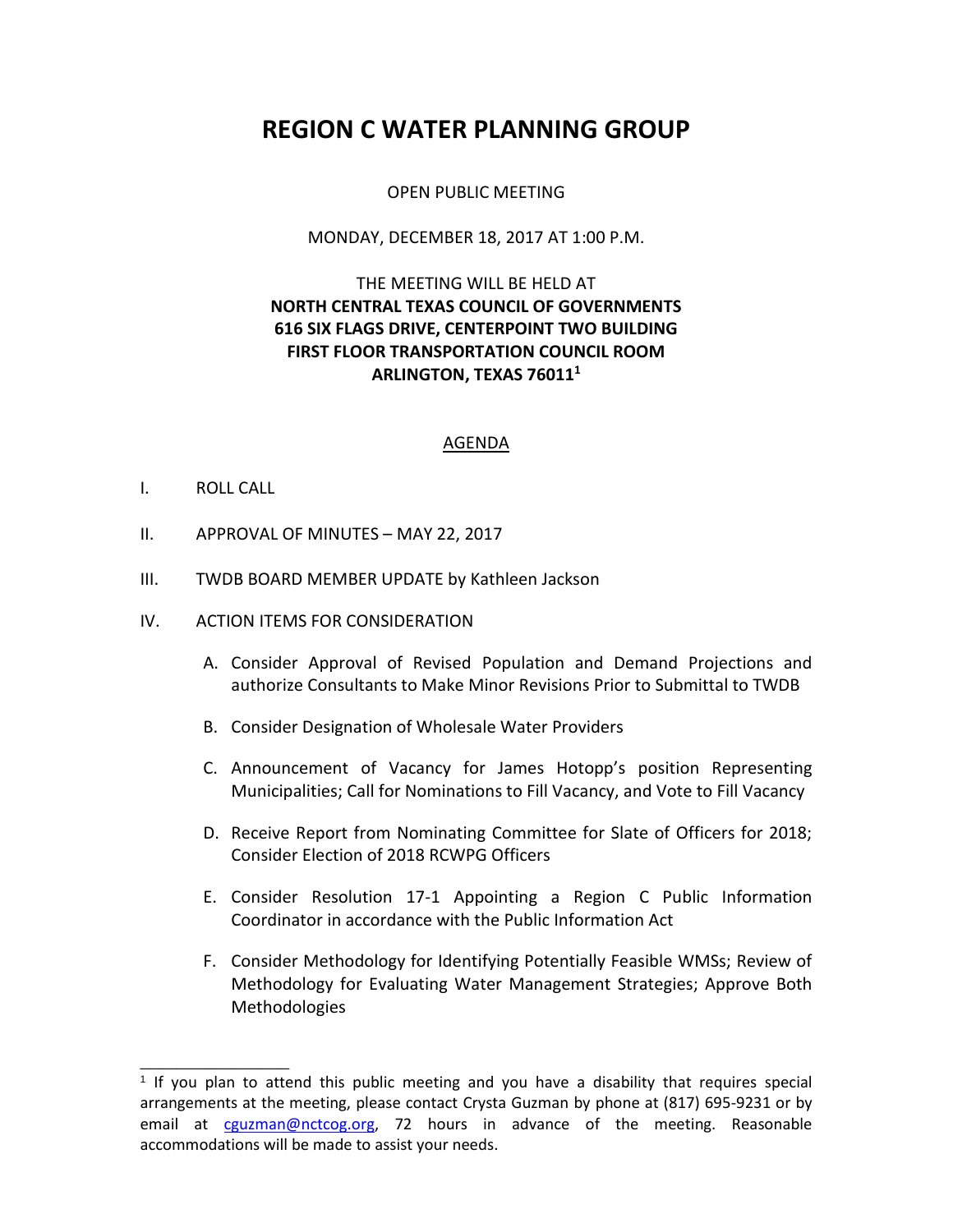# **REGION C WATER PLANNING GROUP**

#### OPEN PUBLIC MEETING

#### MONDAY, DECEMBER 18, 2017 AT 1:00 P.M.

## THE MEETING WILL BE HELD AT **NORTH CENTRAL TEXAS COUNCIL OF GOVERNMENTS 616 SIX FLAGS DRIVE, CENTERPOINT TWO BUILDING FIRST FLOOR TRANSPORTATION COUNCIL ROOM ARLINGTON, TEXAS 76011<sup>1</sup>**

#### AGENDA

#### I. ROLL CALL

\_\_\_\_\_\_\_\_\_\_\_\_\_\_\_\_

- II. APPROVAL OF MINUTES MAY 22, 2017
- III. TWDB BOARD MEMBER UPDATE by Kathleen Jackson
- IV. ACTION ITEMS FOR CONSIDERATION
	- A. Consider Approval of Revised Population and Demand Projections and authorize Consultants to Make Minor Revisions Prior to Submittal to TWDB
	- B. Consider Designation of Wholesale Water Providers
	- C. Announcement of Vacancy for James Hotopp's position Representing Municipalities; Call for Nominations to Fill Vacancy, and Vote to Fill Vacancy
	- D. Receive Report from Nominating Committee for Slate of Officers for 2018; Consider Election of 2018 RCWPG Officers
	- E. Consider Resolution 17-1 Appointing a Region C Public Information Coordinator in accordance with the Public Information Act
	- F. Consider Methodology for Identifying Potentially Feasible WMSs; Review of Methodology for Evaluating Water Management Strategies; Approve Both Methodologies

<sup>&</sup>lt;sup>1</sup> If you plan to attend this public meeting and you have a disability that requires special arrangements at the meeting, please contact Crysta Guzman by phone at (817) 695-9231 or by email at [cguzman@nctcog.org,](mailto:cguzman@nctcog.org) 72 hours in advance of the meeting. Reasonable accommodations will be made to assist your needs.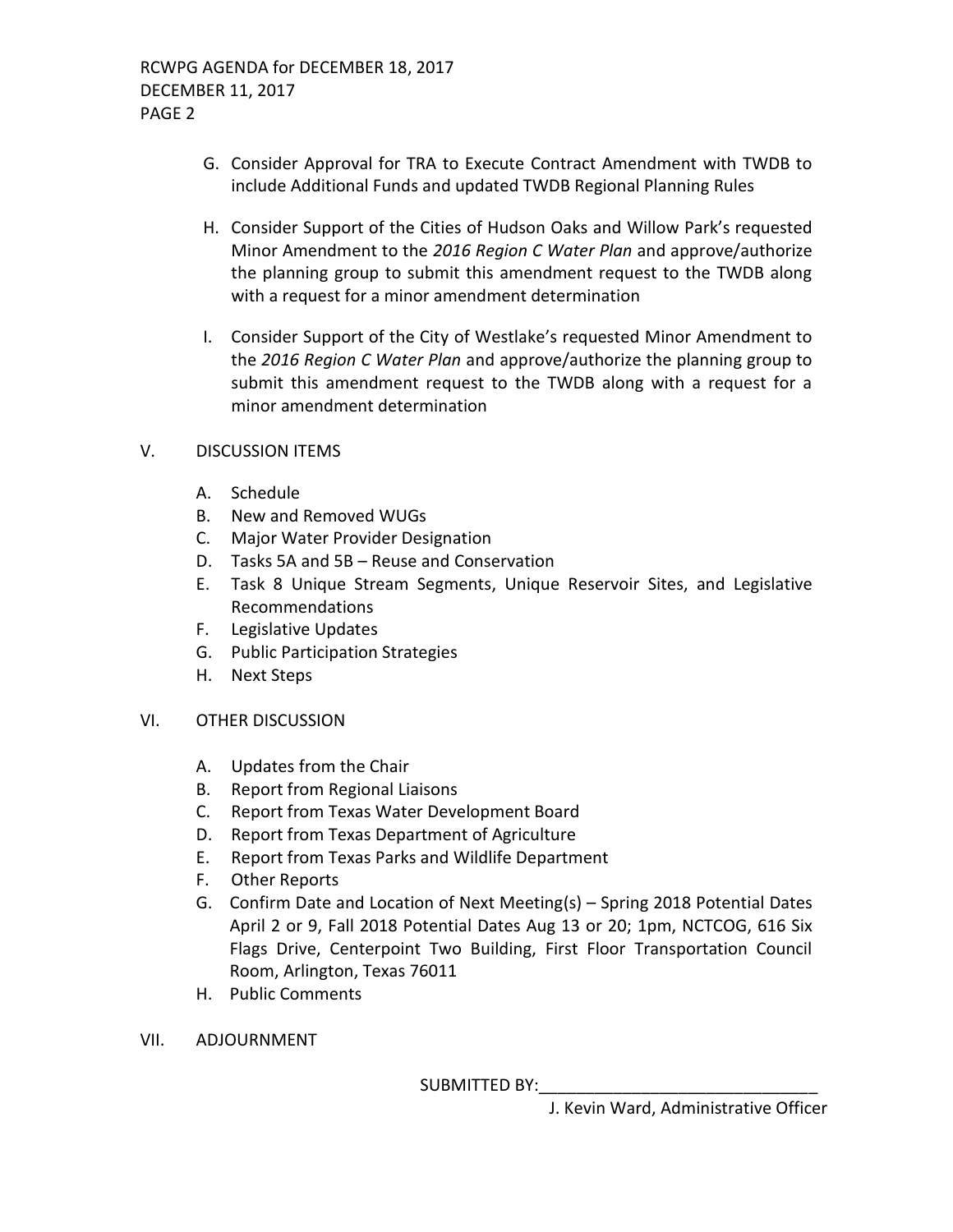- G. Consider Approval for TRA to Execute Contract Amendment with TWDB to include Additional Funds and updated TWDB Regional Planning Rules
- H. Consider Support of the Cities of Hudson Oaks and Willow Park's requested Minor Amendment to the *2016 Region C Water Plan* and approve/authorize the planning group to submit this amendment request to the TWDB along with a request for a minor amendment determination
- I. Consider Support of the City of Westlake's requested Minor Amendment to the *2016 Region C Water Plan* and approve/authorize the planning group to submit this amendment request to the TWDB along with a request for a minor amendment determination

#### V. DISCUSSION ITEMS

- A. Schedule
- B. New and Removed WUGs
- C. Major Water Provider Designation
- D. Tasks 5A and 5B Reuse and Conservation
- E. Task 8 Unique Stream Segments, Unique Reservoir Sites, and Legislative Recommendations
- F. Legislative Updates
- G. Public Participation Strategies
- H. Next Steps

### VI. OTHER DISCUSSION

- A. Updates from the Chair
- B. Report from Regional Liaisons
- C. Report from Texas Water Development Board
- D. Report from Texas Department of Agriculture
- E. Report from Texas Parks and Wildlife Department
- F. Other Reports
- G. Confirm Date and Location of Next Meeting(s) Spring 2018 Potential Dates April 2 or 9, Fall 2018 Potential Dates Aug 13 or 20; 1pm, NCTCOG, 616 Six Flags Drive, Centerpoint Two Building, First Floor Transportation Council Room, Arlington, Texas 76011
- H. Public Comments
- VII. ADJOURNMENT

SUBMITTED BY: